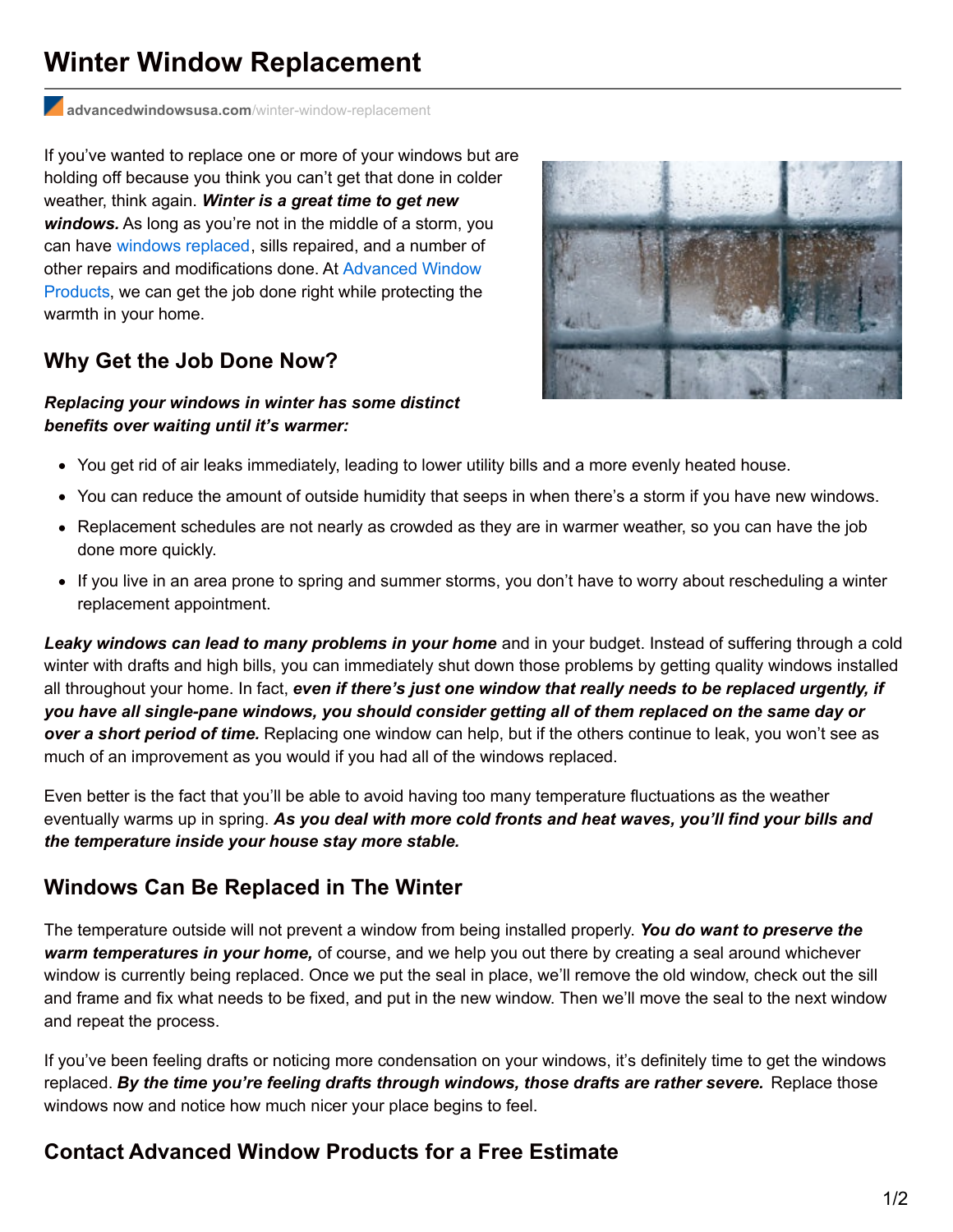# **Winter Window Replacement**

**[advancedwindowsusa.com](http://advancedwindowsusa.com/winter-window-replacement)**/winter-window-replacement

If you've wanted to replace one or more of your windows but are holding off because you think you can't get that done in colder weather, think again. *Winter is a great time to get new windows.* As long as you're not in the middle of a storm, you can have [windows](http://advancedwindowsusa.com/windows) replaced, sills repaired, and a number of other repairs and [modifications](http://advancedwindowsusa.com/) done. At Advanced Window Products, we can get the job done right while protecting the warmth in your home.

### **Why Get the Job Done Now?**

#### *Replacing your windows in winter has some distinct benefits over waiting until it's warmer:*



- You get rid of air leaks immediately, leading to lower utility bills and a more evenly heated house.
- You can reduce the amount of outside humidity that seeps in when there's a storm if you have new windows.
- Replacement schedules are not nearly as crowded as they are in warmer weather, so you can have the job done more quickly.
- If you live in an area prone to spring and summer storms, you don't have to worry about rescheduling a winter replacement appointment.

*Leaky windows can lead to many problems in your home* and in your budget. Instead of suffering through a cold winter with drafts and high bills, you can immediately shut down those problems by getting quality windows installed all throughout your home. In fact, *even if there's just one window that really needs to be replaced urgently, if* you have all single-pane windows, you should consider getting all of them replaced on the same day or *over a short period of time.* Replacing one window can help, but if the others continue to leak, you won't see as much of an improvement as you would if you had all of the windows replaced.

Even better is the fact that you'll be able to avoid having too many temperature fluctuations as the weather eventually warms up in spring. *As you deal with more cold fronts and heat waves, you'll find your bills and the temperature inside your house stay more stable.*

## **Windows Can Be Replaced in The Winter**

The temperature outside will not prevent a window from being installed properly. *You do want to preserve the warm temperatures in your home,* of course, and we help you out there by creating a seal around whichever window is currently being replaced. Once we put the seal in place, we'll remove the old window, check out the sill and frame and fix what needs to be fixed, and put in the new window. Then we'll move the seal to the next window and repeat the process.

If you've been feeling drafts or noticing more condensation on your windows, it's definitely time to get the windows replaced. *By the time you're feeling drafts through windows, those drafts are rather severe.* Replace those windows now and notice how much nicer your place begins to feel.

## **Contact Advanced Window Products for a Free Estimate**